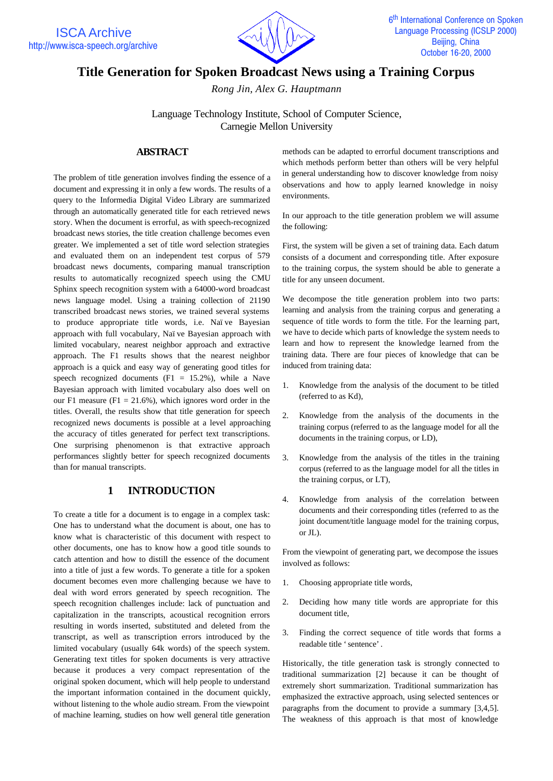

# **Title Generation for Spoken Broadcast News using a Training Corpus**

*Rong Jin, Alex G. Hauptmann*

Language Technology Institute, School of Computer Science, Carnegie Mellon University

## **ABSTRACT**

The problem of title generation involves finding the essence of a document and expressing it in only a few words. The results of a query to the Informedia Digital Video Library are summarized through an automatically generated title for each retrieved news story. When the document is errorful, as with speech-recognized broadcast news stories, the title creation challenge becomes even greater. We implemented a set of title word selection strategies and evaluated them on an independent test corpus of 579 broadcast news documents, comparing manual transcription results to automatically recognized speech using the CMU Sphinx speech recognition system with a 64000-word broadcast news language model. Using a training collection of 21190 transcribed broadcast news stories, we trained several systems to produce appropriate title words, i.e. Naïve Bayesian approach with full vocabulary, Naïve Bayesian approach with limited vocabulary, nearest neighbor approach and extractive approach. The F1 results shows that the nearest neighbor approach is a quick and easy way of generating good titles for speech recognized documents (F1 = 15.2%), while a Nave Bayesian approach with limited vocabulary also does well on our F1 measure (F1 = 21.6%), which ignores word order in the titles. Overall, the results show that title generation for speech recognized news documents is possible at a level approaching the accuracy of titles generated for perfect text transcriptions. One surprising phenomenon is that extractive approach performances slightly better for speech recognized documents than for manual transcripts.

## **1 INTRODUCTION**

To create a title for a document is to engage in a complex task: One has to understand what the document is about, one has to know what is characteristic of this document with respect to other documents, one has to know how a good title sounds to catch attention and how to distill the essence of the document into a title of just a few words. To generate a title for a spoken document becomes even more challenging because we have to deal with word errors generated by speech recognition. The speech recognition challenges include: lack of punctuation and capitalization in the transcripts, acoustical recognition errors resulting in words inserted, substituted and deleted from the transcript, as well as transcription errors introduced by the limited vocabulary (usually 64k words) of the speech system. Generating text titles for spoken documents is very attractive because it produces a very compact representation of the original spoken document, which will help people to understand the important information contained in the document quickly, without listening to the whole audio stream. From the viewpoint of machine learning, studies on how well general title generation

methods can be adapted to errorful document transcriptions and which methods perform better than others will be very helpful in general understanding how to discover knowledge from noisy observations and how to apply learned knowledge in noisy environments.

In our approach to the title generation problem we will assume the following:

First, the system will be given a set of training data. Each datum consists of a document and corresponding title. After exposure to the training corpus, the system should be able to generate a title for any unseen document.

We decompose the title generation problem into two parts: learning and analysis from the training corpus and generating a sequence of title words to form the title. For the learning part, we have to decide which parts of knowledge the system needs to learn and how to represent the knowledge learned from the training data. There are four pieces of knowledge that can be induced from training data:

- 1. Knowledge from the analysis of the document to be titled (referred to as Kd),
- 2. Knowledge from the analysis of the documents in the training corpus (referred to as the language model for all the documents in the training corpus, or LD),
- 3. Knowledge from the analysis of the titles in the training corpus (referred to as the language model for all the titles in the training corpus, or LT),
- 4. Knowledge from analysis of the correlation between documents and their corresponding titles (referred to as the joint document/title language model for the training corpus, or JL).

From the viewpoint of generating part, we decompose the issues involved as follows:

- 1. Choosing appropriate title words,
- 2. Deciding how many title words are appropriate for this document title,
- 3. Finding the correct sequence of title words that forms a readable title 'sentence'.

Historically, the title generation task is strongly connected to traditional summarization [2] because it can be thought of extremely short summarization. Traditional summarization has emphasized the extractive approach, using selected sentences or paragraphs from the document to provide a summary [3,4,5]. The weakness of this approach is that most of knowledge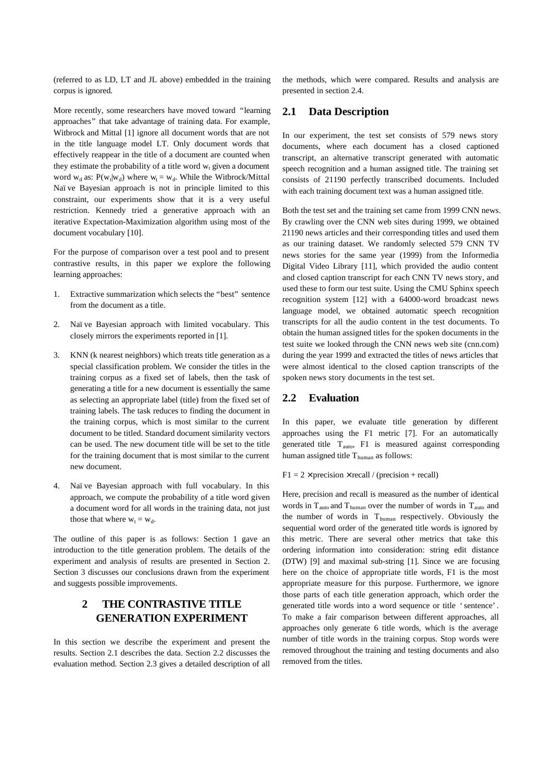(referred to as LD, LT and JL above) embedded in the training corpus is ignored.

More recently, some researchers have moved toward "learning approaches" that take advantage of training data. For example, Witbrock and Mittal [1] ignore all document words that are not in the title language model LT. Only document words that effectively reappear in the title of a document are counted when they estimate the probability of a title word  $w_t$  given a document word  $w_d$  as:  $P(w_t|w_d)$  where  $w_t = w_d$ . While the Witbrock/Mittal Naïve Bayesian approach is not in principle limited to this constraint, our experiments show that it is a very useful restriction. Kennedy tried a generative approach with an iterative Expectation-Maximization algorithm using most of the document vocabulary [10].

For the purpose of comparison over a test pool and to present contrastive results, in this paper we explore the following learning approaches:

- Extractive summarization which selects the "best" sentence from the document as a title.
- 2. Naïve Bayesian approach with limited vocabulary. This closely mirrors the experiments reported in [1].
- 3. KNN (k nearest neighbors) which treats title generation as a special classification problem. We consider the titles in the training corpus as a fixed set of labels, then the task of generating a title for a new document is essentially the same as selecting an appropriate label (title) from the fixed set of training labels. The task reduces to finding the document in the training corpus, which is most similar to the current document to be titled. Standard document similarity vectors can be used. The new document title will be set to the title for the training document that is most similar to the current new document.
- 4. Naïve Bayesian approach with full vocabulary. In this approach, we compute the probability of a title word given a document word for all words in the training data, not just those that where  $w_t = w_d$ .

The outline of this paper is as follows: Section 1 gave an introduction to the title generation problem. The details of the experiment and analysis of results are presented in Section 2. Section 3 discusses our conclusions drawn from the experiment and suggests possible improvements.

## **2 THE CONTRASTIVE TITLE GENERATION EXPERIMENT**

In this section we describe the experiment and present the results. Section 2.1 describes the data. Section 2.2 discusses the evaluation method. Section 2.3 gives a detailed description of all

the methods, which were compared. Results and analysis are presented in section 2.4.

## **2.1 Data Description**

In our experiment, the test set consists of 579 news story documents, where each document has a closed captioned transcript, an alternative transcript generated with automatic speech recognition and a human assigned title. The training set consists of 21190 perfectly transcribed documents. Included with each training document text was a human assigned title.

Both the test set and the training set came from 1999 CNN news. By crawling over the CNN web sites during 1999, we obtained 21190 news articles and their corresponding titles and used them as our training dataset. We randomly selected 579 CNN TV news stories for the same year (1999) from the Informedia Digital Video Library [11], which provided the audio content and closed caption transcript for each CNN TV news story, and used these to form our test suite. Using the CMU Sphinx speech recognition system [12] with a 64000-word broadcast news language model, we obtained automatic speech recognition transcripts for all the audio content in the test documents. To obtain the human assigned titles for the spoken documents in the test suite we looked through the CNN news web site (cnn.com) during the year 1999 and extracted the titles of news articles that were almost identical to the closed caption transcripts of the spoken news story documents in the test set.

### **2.2 Evaluation**

In this paper, we evaluate title generation by different approaches using the F1 metric [7]. For an automatically generated title  $T_{\text{auto}}$ , F1 is measured against corresponding human assigned title  $T_{\text{human}}$  as follows:

#### $F1 = 2 \times precision \times recall / (precision + recall)$

Here, precision and recall is measured as the number of identical words in T<sub>auto</sub> and T<sub>human</sub> over the number of words in T<sub>auto</sub> and the number of words in T<sub>human</sub> respectively. Obviously the sequential word order of the generated title words is ignored by this metric. There are several other metrics that take this ordering information into consideration: string edit distance (DTW) [9] and maximal sub-string [1]. Since we are focusing here on the choice of appropriate title words, F1 is the most appropriate measure for this purpose. Furthermore, we ignore those parts of each title generation approach, which order the generated title words into a word sequence or title 'sentence'. To make a fair comparison between different approaches, all approaches only generate 6 title words, which is the average number of title words in the training corpus. Stop words were removed throughout the training and testing documents and also removed from the titles.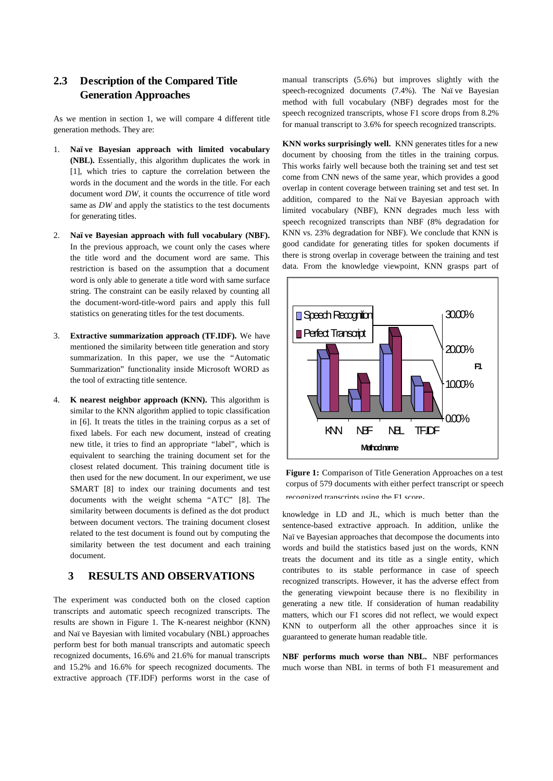## **2.3 Description of the Compared Title Generation Approaches**

As we mention in section 1, we will compare 4 different title generation methods. They are:

- 1. **Naïve Bayesian approach with limited vocabulary (NBL).** Essentially, this algorithm duplicates the work in [1], which tries to capture the correlation between the words in the document and the words in the title. For each document word *DW*, it counts the occurrence of title word same as *DW* and apply the statistics to the test documents for generating titles.
- 2. **Naïve Bayesian approach with full vocabulary (NBF).** In the previous approach, we count only the cases where the title word and the document word are same. This restriction is based on the assumption that a document word is only able to generate a title word with same surface string. The constraint can be easily relaxed by counting all the document-word-title-word pairs and apply this full statistics on generating titles for the test documents.
- 3. **Extractive summarization approach (TF.IDF).** We have mentioned the similarity between title generation and story summarization. In this paper, we use the "Automatic Summarization" functionality inside Microsoft WORD as the tool of extracting title sentence.
- 4. **K nearest neighbor approach (KNN).** This algorithm is similar to the KNN algorithm applied to topic classification in [6]. It treats the titles in the training corpus as a set of fixed labels. For each new document, instead of creating new title, it tries to find an appropriate "label", which is equivalent to searching the training document set for the closest related document. This training document title is then used for the new document. In our experiment, we use SMART [8] to index our training documents and test documents with the weight schema "ATC" [8]. The similarity between documents is defined as the dot product between document vectors. The training document closest related to the test document is found out by computing the similarity between the test document and each training document.

## **3 RESULTS AND OBSERVATIONS**

The experiment was conducted both on the closed caption transcripts and automatic speech recognized transcripts. The results are shown in Figure 1. The K-nearest neighbor (KNN) and Naïve Bayesian with limited vocabulary (NBL) approaches perform best for both manual transcripts and automatic speech recognized documents, 16.6% and 21.6% for manual transcripts and 15.2% and 16.6% for speech recognized documents. The extractive approach (TF.IDF) performs worst in the case of manual transcripts (5.6%) but improves slightly with the speech-recognized documents (7.4%). The Naïve Bayesian method with full vocabulary (NBF) degrades most for the speech recognized transcripts, whose F1 score drops from 8.2% for manual transcript to 3.6% for speech recognized transcripts.

**KNN works surprisingly well.** KNN generates titles for a new document by choosing from the titles in the training corpus. This works fairly well because both the training set and test set come from CNN news of the same year, which provides a good overlap in content coverage between training set and test set. In addition, compared to the Naïve Bayesian approach with limited vocabulary (NBF), KNN degrades much less with speech recognized transcripts than NBF (8% degradation for KNN vs. 23% degradation for NBF). We conclude that KNN is good candidate for generating titles for spoken documents if there is strong overlap in coverage between the training and test data. From the knowledge viewpoint, KNN grasps part of



**Figure 1:** Comparison of Title Generation Approaches on a test corpus of 579 documents with either perfect transcript or speech recognized transcripts using the F1 score**.**

knowledge in LD and JL, which is much better than the sentence-based extractive approach. In addition, unlike the Naïve Bayesian approaches that decompose the documents into words and build the statistics based just on the words, KNN treats the document and its title as a single entity, which contributes to its stable performance in case of speech recognized transcripts. However, it has the adverse effect from the generating viewpoint because there is no flexibility in generating a new title. If consideration of human readability matters, which our F1 scores did not reflect, we would expect KNN to outperform all the other approaches since it is guaranteed to generate human readable title.

**NBF performs much worse than NBL.** NBF performances much worse than NBL in terms of both F1 measurement and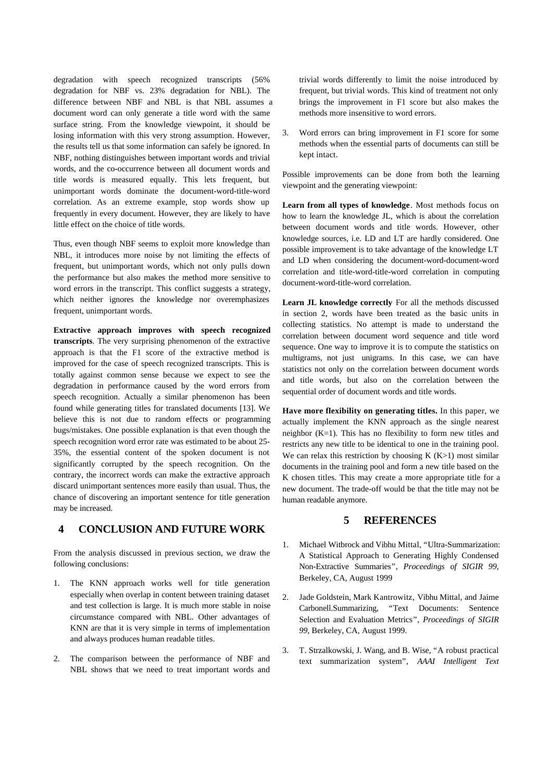degradation with speech recognized transcripts (56% degradation for NBF vs. 23% degradation for NBL). The difference between NBF and NBL is that NBL assumes a document word can only generate a title word with the same surface string. From the knowledge viewpoint, it should be losing information with this very strong assumption. However, the results tell us that some information can safely be ignored. In NBF, nothing distinguishes between important words and trivial words, and the co-occurrence between all document words and title words is measured equally. This lets frequent, but unimportant words dominate the document-word-title-word correlation. As an extreme example, stop words show up frequently in every document. However, they are likely to have little effect on the choice of title words.

Thus, even though NBF seems to exploit more knowledge than NBL, it introduces more noise by not limiting the effects of frequent, but unimportant words, which not only pulls down the performance but also makes the method more sensitive to word errors in the transcript. This conflict suggests a strategy, which neither ignores the knowledge nor overemphasizes frequent, unimportant words.

**Extractive approach improves with speech recognized transcripts**. The very surprising phenomenon of the extractive approach is that the F1 score of the extractive method is improved for the case of speech recognized transcripts. This is totally against common sense because we expect to see the degradation in performance caused by the word errors from speech recognition. Actually a similar phenomenon has been found while generating titles for translated documents [13]. We believe this is not due to random effects or programming bugs/mistakes. One possible explanation is that even though the speech recognition word error rate was estimated to be about 25- 35%, the essential content of the spoken document is not significantly corrupted by the speech recognition. On the contrary, the incorrect words can make the extractive approach discard unimportant sentences more easily than usual. Thus, the chance of discovering an important sentence for title generation may be increased.

## **4 CONCLUSION AND FUTURE WORK**

From the analysis discussed in previous section, we draw the following conclusions:

- 1. The KNN approach works well for title generation especially when overlap in content between training dataset and test collection is large. It is much more stable in noise circumstance compared with NBL. Other advantages of KNN are that it is very simple in terms of implementation and always produces human readable titles.
- 2. The comparison between the performance of NBF and NBL shows that we need to treat important words and

trivial words differently to limit the noise introduced by frequent, but trivial words. This kind of treatment not only brings the improvement in F1 score but also makes the methods more insensitive to word errors.

3. Word errors can bring improvement in F1 score for some methods when the essential parts of documents can still be kept intact.

Possible improvements can be done from both the learning viewpoint and the generating viewpoint:

**Learn from all types of knowledge**. Most methods focus on how to learn the knowledge JL, which is about the correlation between document words and title words. However, other knowledge sources, i.e. LD and LT are hardly considered. One possible improvement is to take advantage of the knowledge LT and LD when considering the document-word-document-word correlation and title-word-title-word correlation in computing document-word-title-word correlation.

**Learn JL knowledge correctly** For all the methods discussed in section 2, words have been treated as the basic units in collecting statistics. No attempt is made to understand the correlation between document word sequence and title word sequence. One way to improve it is to compute the statistics on multigrams, not just unigrams. In this case, we can have statistics not only on the correlation between document words and title words, but also on the correlation between the sequential order of document words and title words.

**Have more flexibility on generating titles.** In this paper, we actually implement the KNN approach as the single nearest neighbor (K=1). This has no flexibility to form new titles and restricts any new title to be identical to one in the training pool. We can relax this restriction by choosing  $K(K>1)$  most similar documents in the training pool and form a new title based on the K chosen titles. This may create a more appropriate title for a new document. The trade-off would be that the title may not be human readable anymore.

## **5 REFERENCES**

- 1. Michael Witbrock and Vibhu Mittal, "Ultra-Summarization: A Statistical Approach to Generating Highly Condensed Non-Extractive Summaries", *Proceedings of SIGIR 99*, Berkeley, CA, August 1999
- 2. Jade Goldstein, Mark Kantrowitz, Vibhu Mittal, and Jaime Carbonell.Summarizing, "Text Documents: Sentence Selection and Evaluation Metrics", *Proceedings of SIGIR 99*, Berkeley, CA, August 1999.
- 3. T. Strzalkowski, J. Wang, and B. Wise, "A robust practical text summarization system", *AAAI Intelligent Text*